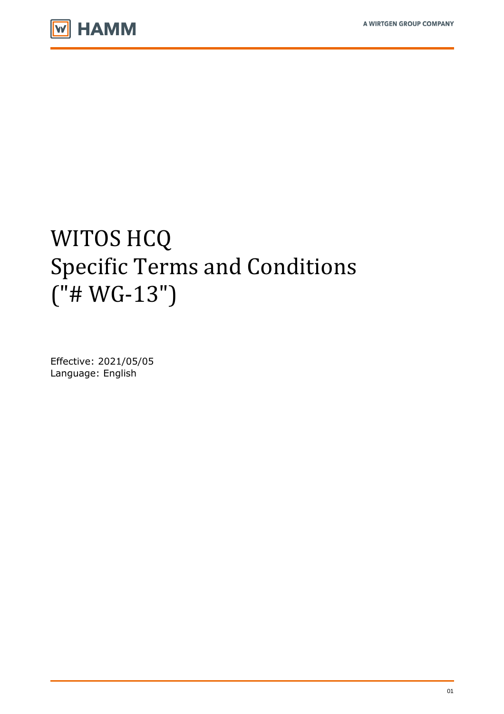

# WITOS HCQ Specific Terms and Conditions  $("# WG-13")$

Effective: 2021/05/05 Language: English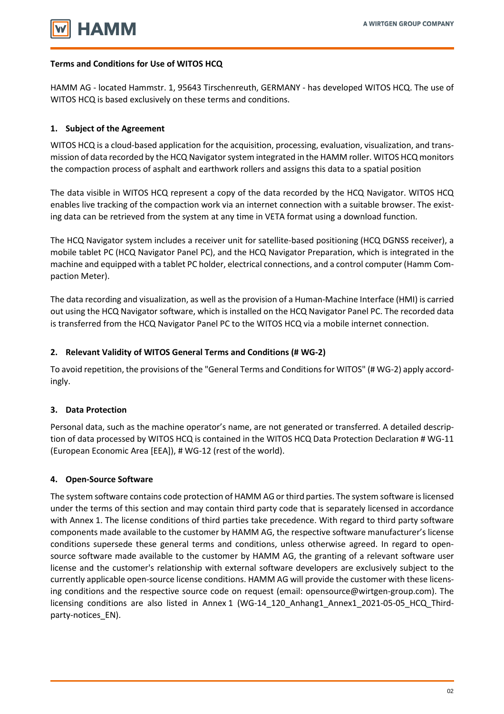## **Terms and Conditions for Use of WITOS HCQ**

HAMM AG - located Hammstr. 1, 95643 Tirschenreuth, GERMANY - has developed WITOS HCQ. The use of WITOS HCQ is based exclusively on these terms and conditions.

# **1. Subject of the Agreement**

WITOS HCQ is a cloud-based application for the acquisition, processing, evaluation, visualization, and transmission of data recorded by the HCQ Navigator system integrated in the HAMM roller. WITOS HCQ monitors the compaction process of asphalt and earthwork rollers and assigns this data to a spatial position

The data visible in WITOS HCQ represent a copy of the data recorded by the HCQ Navigator. WITOS HCQ enables live tracking of the compaction work via an internet connection with a suitable browser. The existing data can be retrieved from the system at any time in VETA format using a download function.

The HCQ Navigator system includes a receiver unit for satellite-based positioning (HCQ DGNSS receiver), a mobile tablet PC (HCQ Navigator Panel PC), and the HCQ Navigator Preparation, which is integrated in the machine and equipped with a tablet PC holder, electrical connections, and a control computer (Hamm Compaction Meter).

The data recording and visualization, as well as the provision of a Human-Machine Interface (HMI) is carried out using the HCQ Navigator software, which is installed on the HCQ Navigator Panel PC. The recorded data is transferred from the HCQ Navigator Panel PC to the WITOS HCQ via a mobile internet connection.

#### **2. Relevant Validity of WITOS General Terms and Conditions (# WG-2)**

To avoid repetition, the provisions of the "General Terms and Conditions for WITOS" (# WG-2) apply accordingly.

#### **3. Data Protection**

Personal data, such as the machine operator's name, are not generated or transferred. A detailed description of data processed by WITOS HCQ is contained in the WITOS HCQ Data Protection Declaration # WG-11 (European Economic Area [EEA]), # WG-12 (rest of the world).

#### **4. Open-Source Software**

The system software contains code protection of HAMM AG or third parties. The system software is licensed under the terms of this section and may contain third party code that is separately licensed in accordance with Annex 1. The license conditions of third parties take precedence. With regard to third party software components made available to the customer by HAMM AG, the respective software manufacturer's license conditions supersede these general terms and conditions, unless otherwise agreed. In regard to opensource software made available to the customer by HAMM AG, the granting of a relevant software user license and the customer's relationship with external software developers are exclusively subject to the currently applicable open-source license conditions. HAMM AG will provide the customer with these licensing conditions and the respective source code on request (email: opensource@wirtgen-group.com). The licensing conditions are also listed in Annex 1 (WG-14\_120\_Anhang1\_Annex1\_2021-05-05\_HCQ\_Thirdparty-notices\_EN).